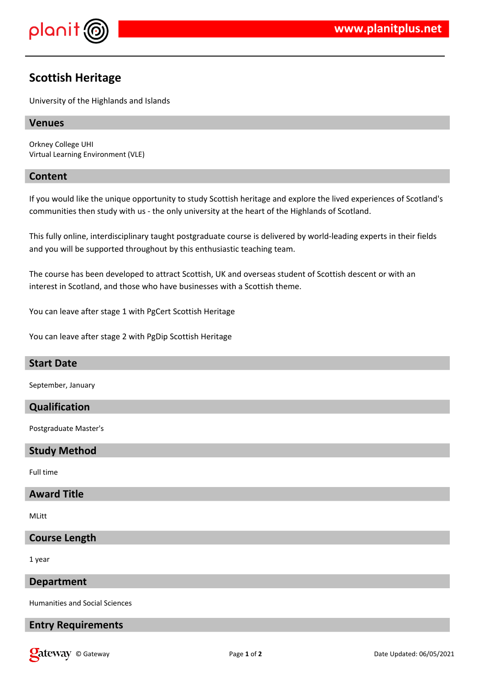

# **Scottish Heritage**

University of the Highlands and Islands

# **Venues**

Orkney College UHI Virtual Learning Environment (VLE)

# **Content**

If you would like the unique opportunity to study Scottish heritage and explore the lived experiences of Scotland's communities then study with us - the only university at the heart of the Highlands of Scotland.

This fully online, interdisciplinary taught postgraduate course is delivered by world-leading experts in their fields and you will be supported throughout by this enthusiastic teaching team.

The course has been developed to attract Scottish, UK and overseas student of Scottish descent or with an interest in Scotland, and those who have businesses with a Scottish theme.

You can leave after stage 1 with PgCert Scottish Heritage

You can leave after stage 2 with PgDip Scottish Heritage

# **Start Date**

September, January

# **Qualification**

Postgraduate Master's

#### **Study Method**

Full time

# **Award Title**

MLitt

#### **Course Length**

1 year

#### **Department**

Humanities and Social Sciences

#### **Entry Requirements**